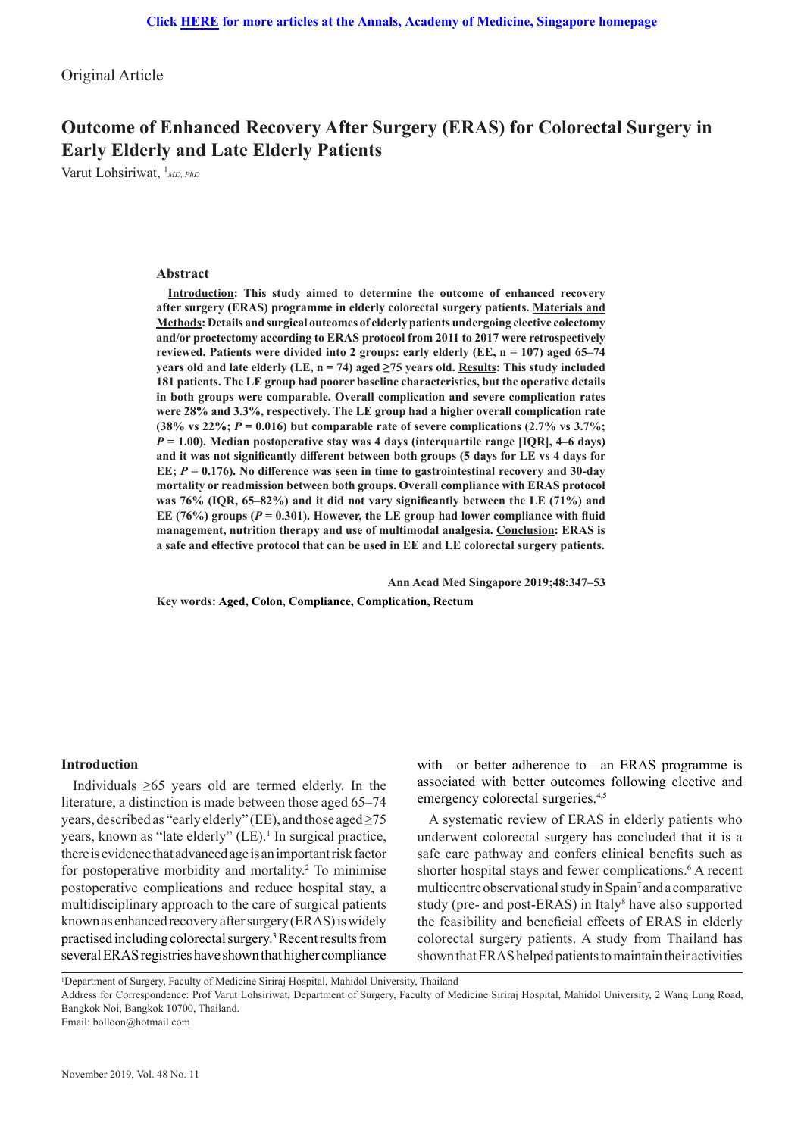Original Article

# **Outcome of Enhanced Recovery After Surgery (ERAS) for Colorectal Surgery in Early Elderly and Late Elderly Patients**

Varut Lohsiriwat, <sup>1</sup>MD, PhD

## **Abstract**

**Introduction: This study aimed to determine the outcome of enhanced recovery after surgery (ERAS) programme in elderly colorectal surgery patients. Materials and Methods: Details and surgical outcomes of elderly patients undergoing elective colectomy and/or proctectomy according to ERAS protocol from 2011 to 2017 were retrospectively reviewed. Patients were divided into 2 groups: early elderly (EE, n = 107) aged 65–74 years old and late elderly (LE, n = 74) aged ≥75 years old. Results: This study included 181 patients. The LE group had poorer baseline characteristics, but the operative details in both groups were comparable. Overall complication and severe complication rates were 28% and 3.3%, respectively. The LE group had a higher overall complication rate**  (38% vs 22%;  $P = 0.016$ ) but comparable rate of severe complications (2.7% vs 3.7%; *P* **= 1.00). Median postoperative stay was 4 days (interquartile range [IQR], 4–6 days) and it was not significantly different between both groups (5 days for LE vs 4 days for EE;** *P* **= 0.176). No difference was seen in time to gastrointestinal recovery and 30-day mortality or readmission between both groups. Overall compliance with ERAS protocol was 76% (IQR, 65–82%) and it did not vary significantly between the LE (71%) and**  EE (76%) groups ( $P = 0.301$ ). However, the LE group had lower compliance with fluid **management, nutrition therapy and use of multimodal analgesia. Conclusion: ERAS is a safe and effective protocol that can be used in EE and LE colorectal surgery patients.**

**Ann Acad Med Singapore 2019;48:347–53**

**Key words: Aged, Colon, Compliance, Complication, Rectum**

### **Introduction**

Individuals  $\geq 65$  years old are termed elderly. In the literature, a distinction is made between those aged 65–74 years, described as "early elderly" (EE), and those aged ≥75 years, known as "late elderly" (LE).<sup>1</sup> In surgical practice, there is evidence that advanced age is an important risk factor for postoperative morbidity and mortality.<sup>2</sup> To minimise postoperative complications and reduce hospital stay, a multidisciplinary approach to the care of surgical patients known as enhanced recovery after surgery (ERAS) is widely practised including colorectal surgery.3 Recent results from several ERAS registries have shown that higher compliance

with—or better adherence to—an ERAS programme is associated with better outcomes following elective and emergency colorectal surgeries.<sup>4,5</sup>

A systematic review of ERAS in elderly patients who underwent colorectal surgery has concluded that it is a safe care pathway and confers clinical benefits such as shorter hospital stays and fewer complications.<sup>6</sup> A recent multicentre observational study in Spain<sup>7</sup> and a comparative study (pre- and post-ERAS) in Italy<sup>8</sup> have also supported the feasibility and beneficial effects of ERAS in elderly colorectal surgery patients. A study from Thailand has shown that ERAS helped patients to maintain their activities

1 Department of Surgery, Faculty of Medicine Siriraj Hospital, Mahidol University, Thailand

Address for Correspondence: Prof Varut Lohsiriwat, Department of Surgery, Faculty of Medicine Siriraj Hospital, Mahidol University, 2 Wang Lung Road, Bangkok Noi, Bangkok 10700, Thailand.

Email: bolloon@hotmail.com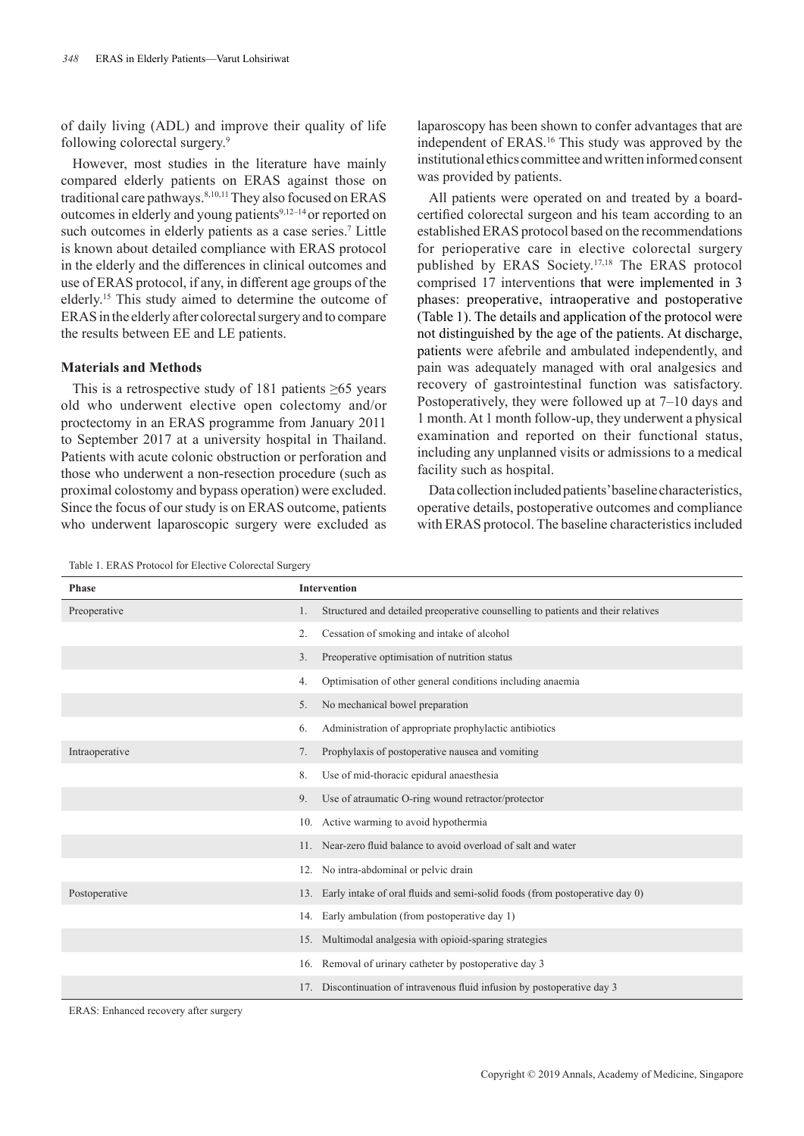of daily living (ADL) and improve their quality of life following colorectal surgery.9

However, most studies in the literature have mainly compared elderly patients on ERAS against those on traditional care pathways.<sup>8,10,11</sup> They also focused on ERAS outcomes in elderly and young patients<sup>9,12–14</sup> or reported on such outcomes in elderly patients as a case series.<sup>7</sup> Little is known about detailed compliance with ERAS protocol in the elderly and the differences in clinical outcomes and use of ERAS protocol, if any, in different age groups of the elderly.<sup>15</sup> This study aimed to determine the outcome of ERAS in the elderly after colorectal surgery and to compare the results between EE and LE patients.

# **Materials and Methods**

This is a retrospective study of 181 patients  $\geq 65$  years old who underwent elective open colectomy and/or proctectomy in an ERAS programme from January 2011 to September 2017 at a university hospital in Thailand. Patients with acute colonic obstruction or perforation and those who underwent a non-resection procedure (such as proximal colostomy and bypass operation) were excluded. Since the focus of our study is on ERAS outcome, patients who underwent laparoscopic surgery were excluded as laparoscopy has been shown to confer advantages that are independent of ERAS.<sup>16</sup> This study was approved by the institutional ethics committee and written informed consent was provided by patients.

All patients were operated on and treated by a boardcertified colorectal surgeon and his team according to an established ERAS protocol based on the recommendations for perioperative care in elective colorectal surgery published by ERAS Society.17,18 The ERAS protocol comprised 17 interventions that were implemented in 3 phases: preoperative, intraoperative and postoperative (Table 1). The details and application of the protocol were not distinguished by the age of the patients. At discharge, patients were afebrile and ambulated independently, and pain was adequately managed with oral analgesics and recovery of gastrointestinal function was satisfactory. Postoperatively, they were followed up at 7–10 days and 1 month. At 1 month follow-up, they underwent a physical examination and reported on their functional status, including any unplanned visits or admissions to a medical facility such as hospital.

Data collection included patients' baseline characteristics, operative details, postoperative outcomes and compliance with ERAS protocol. The baseline characteristics included

Table 1. ERAS Protocol for Elective Colorectal Surgery

| <b>Phase</b>   | <b>Intervention</b>                                                                    |  |  |
|----------------|----------------------------------------------------------------------------------------|--|--|
| Preoperative   | Structured and detailed preoperative counselling to patients and their relatives<br>1. |  |  |
|                | Cessation of smoking and intake of alcohol<br>2.                                       |  |  |
|                | Preoperative optimisation of nutrition status<br>3.                                    |  |  |
|                | Optimisation of other general conditions including anaemia<br>4.                       |  |  |
|                | No mechanical bowel preparation<br>5.                                                  |  |  |
|                | Administration of appropriate prophylactic antibiotics<br>6.                           |  |  |
| Intraoperative | Prophylaxis of postoperative nausea and vomiting<br>7.                                 |  |  |
|                | 8.<br>Use of mid-thoracic epidural anaesthesia                                         |  |  |
|                | Use of atraumatic O-ring wound retractor/protector<br>9.                               |  |  |
|                | Active warming to avoid hypothermia<br>10.                                             |  |  |
|                | Near-zero fluid balance to avoid overload of salt and water<br>11.                     |  |  |
|                | No intra-abdominal or pelvic drain<br>12.                                              |  |  |
| Postoperative  | 13. Early intake of oral fluids and semi-solid foods (from postoperative day 0)        |  |  |
|                | Early ambulation (from postoperative day 1)<br>14.                                     |  |  |
|                | 15. Multimodal analgesia with opioid-sparing strategies                                |  |  |
|                | Removal of urinary catheter by postoperative day 3<br>16.                              |  |  |
|                | 17. Discontinuation of intravenous fluid infusion by postoperative day 3               |  |  |

ERAS: Enhanced recovery after surgery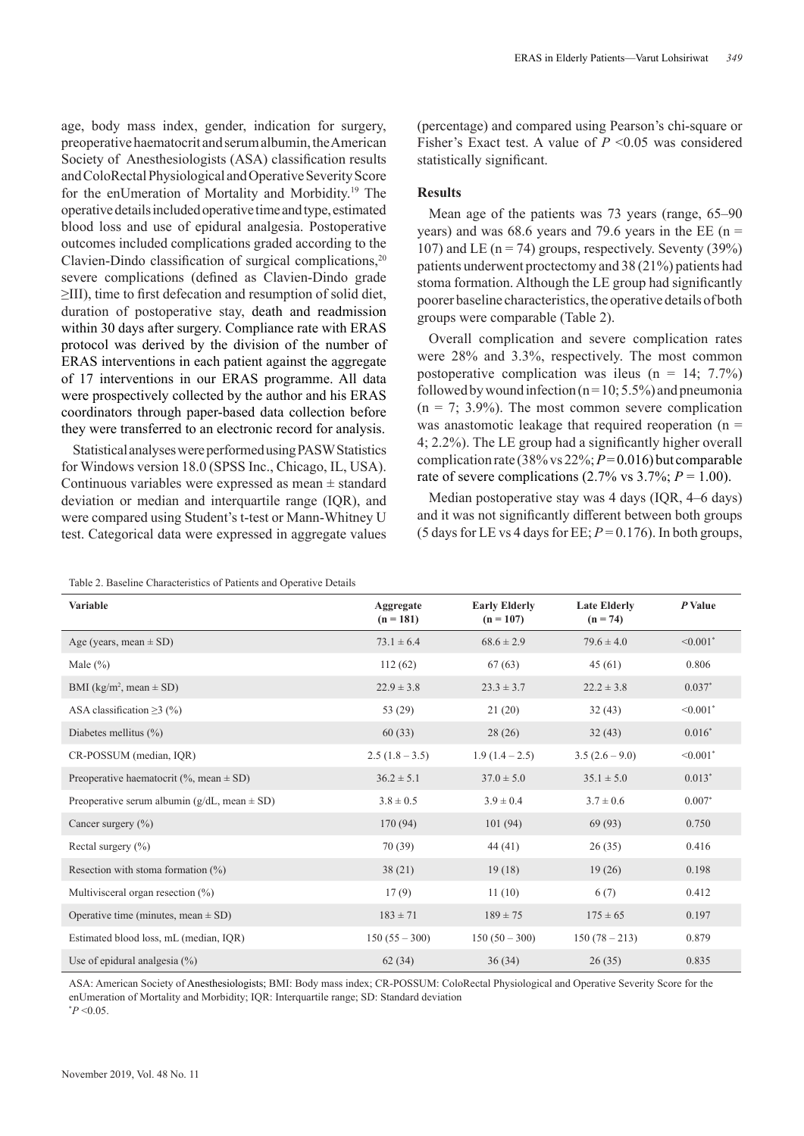age, body mass index, gender, indication for surgery, preoperative haematocrit and serum albumin, the American Society of Anesthesiologists (ASA) classification results and ColoRectal Physiological and Operative Severity Score for the enUmeration of Mortality and Morbidity.19 The operative details included operative time and type, estimated blood loss and use of epidural analgesia. Postoperative outcomes included complications graded according to the Clavien-Dindo classification of surgical complications, $20$ severe complications (defined as Clavien-Dindo grade ≥III), time to first defecation and resumption of solid diet, duration of postoperative stay, death and readmission within 30 days after surgery. Compliance rate with ERAS protocol was derived by the division of the number of ERAS interventions in each patient against the aggregate of 17 interventions in our ERAS programme. All data were prospectively collected by the author and his ERAS coordinators through paper-based data collection before they were transferred to an electronic record for analysis.

Statistical analyses were performed using PASW Statistics for Windows version 18.0 (SPSS Inc., Chicago, IL, USA). Continuous variables were expressed as mean  $\pm$  standard deviation or median and interquartile range (IQR), and were compared using Student's t-test or Mann-Whitney U test. Categorical data were expressed in aggregate values

Table 2. Baseline Characteristics of Patients and Operative Details

(percentage) and compared using Pearson's chi-square or Fisher's Exact test. A value of *P* <0.05 was considered statistically significant.

# **Results**

Mean age of the patients was 73 years (range, 65–90 years) and was 68.6 years and 79.6 years in the EE ( $n =$ 107) and LE ( $n = 74$ ) groups, respectively. Seventy (39%) patients underwent proctectomy and 38 (21%) patients had stoma formation. Although the LE group had significantly poorer baseline characteristics, the operative details of both groups were comparable (Table 2).

Overall complication and severe complication rates were 28% and 3.3%, respectively. The most common postoperative complication was ileus ( $n = 14$ ; 7.7%) followed by wound infection ( $n = 10$ ; 5.5%) and pneumonia  $(n = 7, 3.9\%)$ . The most common severe complication was anastomotic leakage that required reoperation ( $n =$ 4; 2.2%). The LE group had a significantly higher overall complication rate (38% vs 22%; *P* = 0.016) but comparable rate of severe complications  $(2.7\% \text{ vs } 3.7\%; P = 1.00)$ .

Median postoperative stay was 4 days (IQR, 4–6 days) and it was not significantly different between both groups (5 days for LE vs 4 days for EE;  $P = 0.176$ ). In both groups,

| Variable                                             | Aggregate<br>$(n = 181)$ | <b>Early Elderly</b><br>$(n = 107)$ | <b>Late Elderly</b><br>$(n = 74)$ | P Value                   |
|------------------------------------------------------|--------------------------|-------------------------------------|-----------------------------------|---------------------------|
| Age (years, mean $\pm$ SD)                           | $73.1 \pm 6.4$           | $68.6 \pm 2.9$                      | $79.6 \pm 4.0$                    | $\leq 0.001$ <sup>*</sup> |
| Male $(\% )$                                         | 112(62)                  | 67(63)                              | 45(61)                            | 0.806                     |
| BMI (kg/m <sup>2</sup> , mean $\pm$ SD)              | $22.9 \pm 3.8$           | $23.3 \pm 3.7$                      | $22.2 \pm 3.8$                    | $0.037*$                  |
| ASA classification $\geq$ 3 (%)                      | 53 (29)                  | 21(20)                              | 32(43)                            | $< 0.001$ *               |
| Diabetes mellitus $(\% )$                            | 60(33)                   | 28(26)                              | 32(43)                            | $0.016*$                  |
| CR-POSSUM (median, IQR)                              | $2.5(1.8-3.5)$           | $1.9(1.4-2.5)$                      | $3.5(2.6-9.0)$                    | $< 0.001$ *               |
| Preoperative haematocrit (%, mean $\pm$ SD)          | $36.2 \pm 5.1$           | $37.0 \pm 5.0$                      | $35.1 \pm 5.0$                    | $0.013*$                  |
| Preoperative serum albumin ( $g/dL$ , mean $\pm$ SD) | $3.8 \pm 0.5$            | $3.9 \pm 0.4$                       | $3.7 \pm 0.6$                     | $0.007*$                  |
| Cancer surgery $(\% )$                               | 170 (94)                 | 101(94)                             | 69(93)                            | 0.750                     |
| Rectal surgery $(\% )$                               | 70(39)                   | 44(41)                              | 26(35)                            | 0.416                     |
| Resection with stoma formation $(\%)$                | 38(21)                   | 19(18)                              | 19(26)                            | 0.198                     |
| Multivisceral organ resection $(\%)$                 | 17(9)                    | 11(10)                              | 6(7)                              | 0.412                     |
| Operative time (minutes, mean $\pm$ SD)              | $183 \pm 71$             | $189 \pm 75$                        | $175 \pm 65$                      | 0.197                     |
| Estimated blood loss, mL (median, IOR)               | $150(55 - 300)$          | $150(50-300)$                       | $150(78-213)$                     | 0.879                     |
| Use of epidural analgesia $(\%)$                     | 62(34)                   | 36(34)                              | 26(35)                            | 0.835                     |

ASA: American Society of Anesthesiologists; BMI: Body mass index; CR-POSSUM: ColoRectal Physiological and Operative Severity Score for the enUmeration of Mortality and Morbidity; IQR: Interquartile range; SD: Standard deviation  $*P < 0.05$ .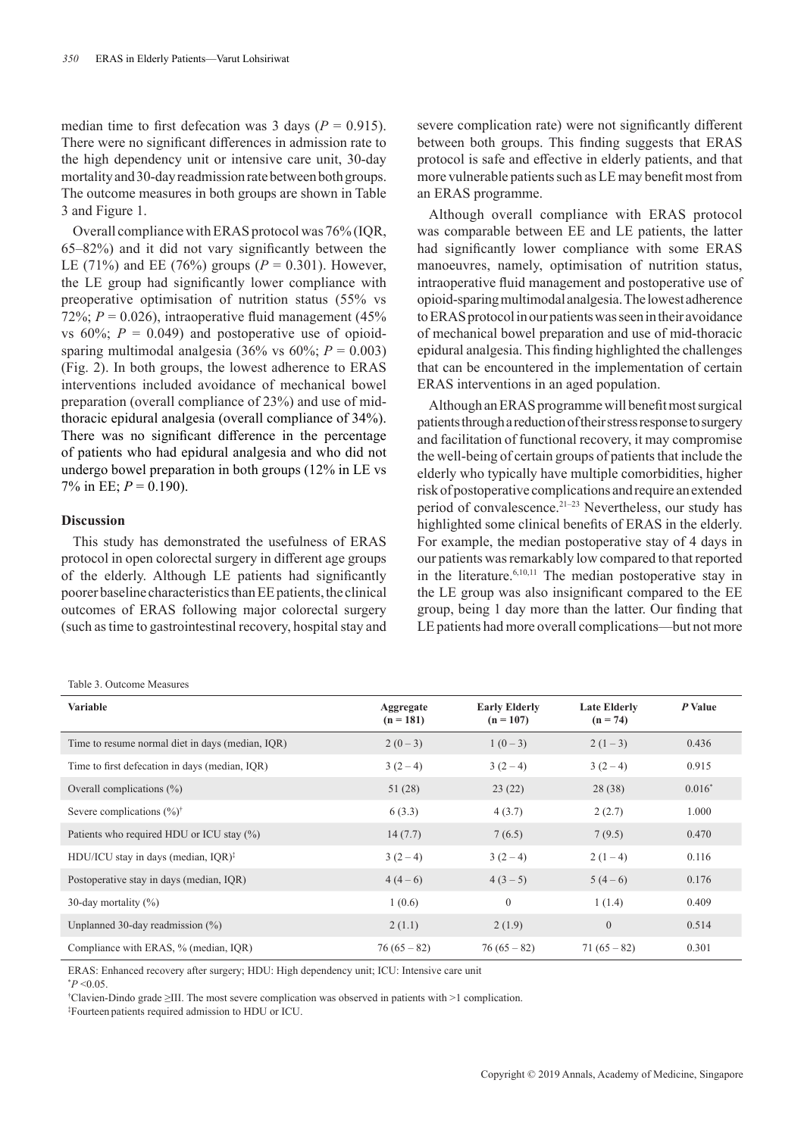median time to first defecation was 3 days ( $P = 0.915$ ). There were no significant differences in admission rate to the high dependency unit or intensive care unit, 30-day mortality and 30-day readmission rate between both groups. The outcome measures in both groups are shown in Table 3 and Figure 1.

Overall compliance with ERAS protocol was 76% (IQR, 65–82%) and it did not vary significantly between the LE (71%) and EE (76%) groups ( $P = 0.301$ ). However, the LE group had significantly lower compliance with preoperative optimisation of nutrition status (55% vs 72%;  $P = 0.026$ ), intraoperative fluid management (45%) vs  $60\%$ ;  $P = 0.049$ ) and postoperative use of opioidsparing multimodal analgesia (36% vs  $60\%$ ;  $P = 0.003$ ) (Fig. 2). In both groups, the lowest adherence to ERAS interventions included avoidance of mechanical bowel preparation (overall compliance of 23%) and use of midthoracic epidural analgesia (overall compliance of 34%). There was no significant difference in the percentage of patients who had epidural analgesia and who did not undergo bowel preparation in both groups (12% in LE vs 7% in EE; *P* = 0.190).

#### **Discussion**

This study has demonstrated the usefulness of ERAS protocol in open colorectal surgery in different age groups of the elderly. Although LE patients had significantly poorer baseline characteristics than EE patients, the clinical outcomes of ERAS following major colorectal surgery (such as time to gastrointestinal recovery, hospital stay and

Table 3. Outcome Measures

severe complication rate) were not significantly different between both groups. This finding suggests that ERAS protocol is safe and effective in elderly patients, and that more vulnerable patients such as LE may benefit most from an ERAS programme.

Although overall compliance with ERAS protocol was comparable between EE and LE patients, the latter had significantly lower compliance with some ERAS manoeuvres, namely, optimisation of nutrition status, intraoperative fluid management and postoperative use of opioid-sparing multimodal analgesia. The lowest adherence to ERAS protocol in our patients was seen in their avoidance of mechanical bowel preparation and use of mid-thoracic epidural analgesia. This finding highlighted the challenges that can be encountered in the implementation of certain ERAS interventions in an aged population.

Although an ERAS programme will benefit most surgical patients through a reduction of their stress response to surgery and facilitation of functional recovery, it may compromise the well-being of certain groups of patients that include the elderly who typically have multiple comorbidities, higher risk of postoperative complications and require an extended period of convalescence.21–23 Nevertheless, our study has highlighted some clinical benefits of ERAS in the elderly. For example, the median postoperative stay of 4 days in our patients was remarkably low compared to that reported in the literature.6,10,11 The median postoperative stay in the LE group was also insignificant compared to the EE group, being 1 day more than the latter. Our finding that LE patients had more overall complications—but not more

| <b>Variable</b>                                  | Aggregate<br>$(n = 181)$ | <b>Early Elderly</b><br>$(n = 107)$ | <b>Late Elderly</b><br>$(n = 74)$ | P Value  |
|--------------------------------------------------|--------------------------|-------------------------------------|-----------------------------------|----------|
| Time to resume normal diet in days (median, IQR) | $2(0-3)$                 | $1(0-3)$                            | $2(1-3)$                          | 0.436    |
| Time to first defecation in days (median, IQR)   | $3(2-4)$                 | $3(2-4)$                            | $3(2-4)$                          | 0.915    |
| Overall complications $(\%)$                     | 51(28)                   | 23(22)                              | 28(38)                            | $0.016*$ |
| Severe complications $(\%)^{\dagger}$            | 6(3.3)                   | 4(3.7)                              | 2(2.7)                            | 1.000    |
| Patients who required HDU or ICU stay (%)        | 14(7.7)                  | 7(6.5)                              | 7(9.5)                            | 0.470    |
| HDU/ICU stay in days (median, IQR) <sup>‡</sup>  | $3(2-4)$                 | $3(2-4)$                            | $2(1-4)$                          | 0.116    |
| Postoperative stay in days (median, IQR)         | $4(4-6)$                 | $4(3-5)$                            | $5(4-6)$                          | 0.176    |
| 30-day mortality $(\%)$                          | 1(0.6)                   | $\overline{0}$                      | 1(1.4)                            | 0.409    |
| Unplanned 30-day readmission $(\%)$              | 2(1.1)                   | 2(1.9)                              | $\overline{0}$                    | 0.514    |
| Compliance with ERAS, % (median, IQR)            | $76(65-82)$              | $76(65-82)$                         | $71(65-82)$                       | 0.301    |

ERAS: Enhanced recovery after surgery; HDU: High dependency unit; ICU: Intensive care unit

 $*P < 0.05$ .

† Clavien-Dindo grade ≥III. The most severe complication was observed in patients with >1 complication.

‡ Fourteen patients required admission to HDU or ICU.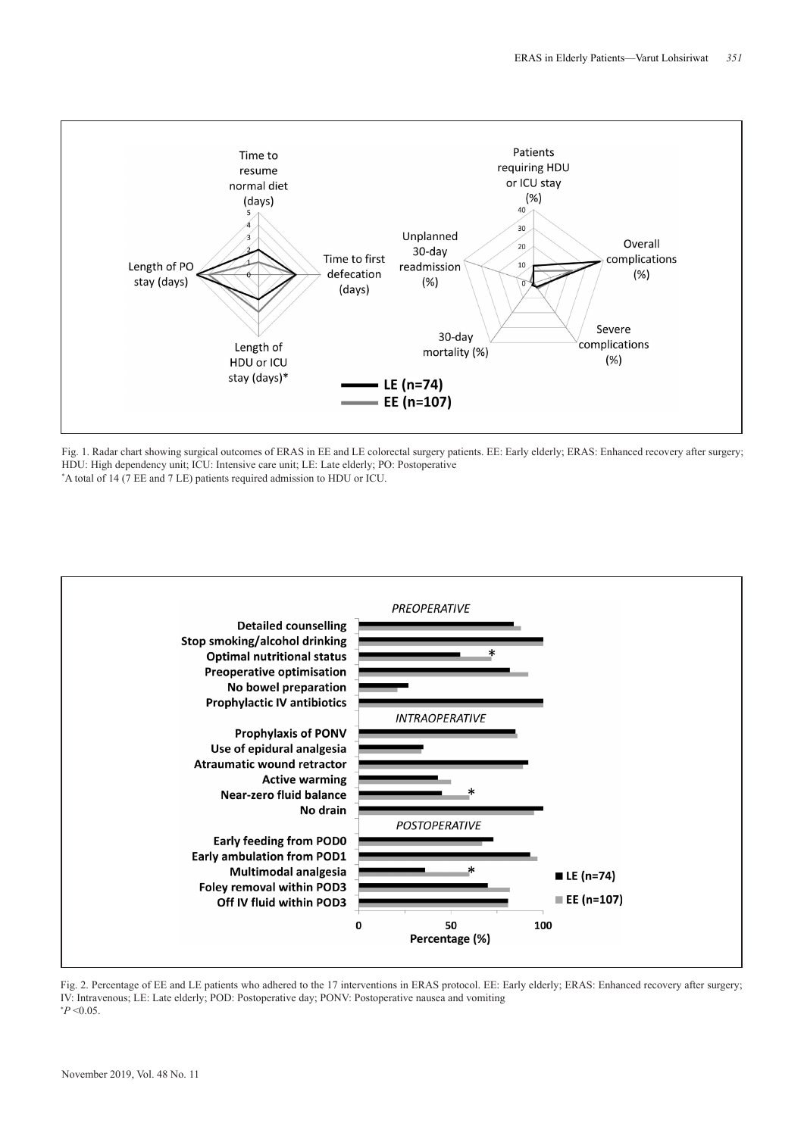

Fig. 1. Radar chart showing surgical outcomes of ERAS in EE and LE colorectal surgery patients. EE: Early elderly; ERAS: Enhanced recovery after surgery; HDU: High dependency unit; ICU: Intensive care unit; LE: Late elderly; PO: Postoperative





Fig. 2. Percentage of EE and LE patients who adhered to the 17 interventions in ERAS protocol. EE: Early elderly: ERAS: Enhanced recovery after surgery; IV: Intravenous; LE: Late elderly; POD: Postoperative day; PONV: Postoperative nausea and vomiting  $*P < 0.05$ .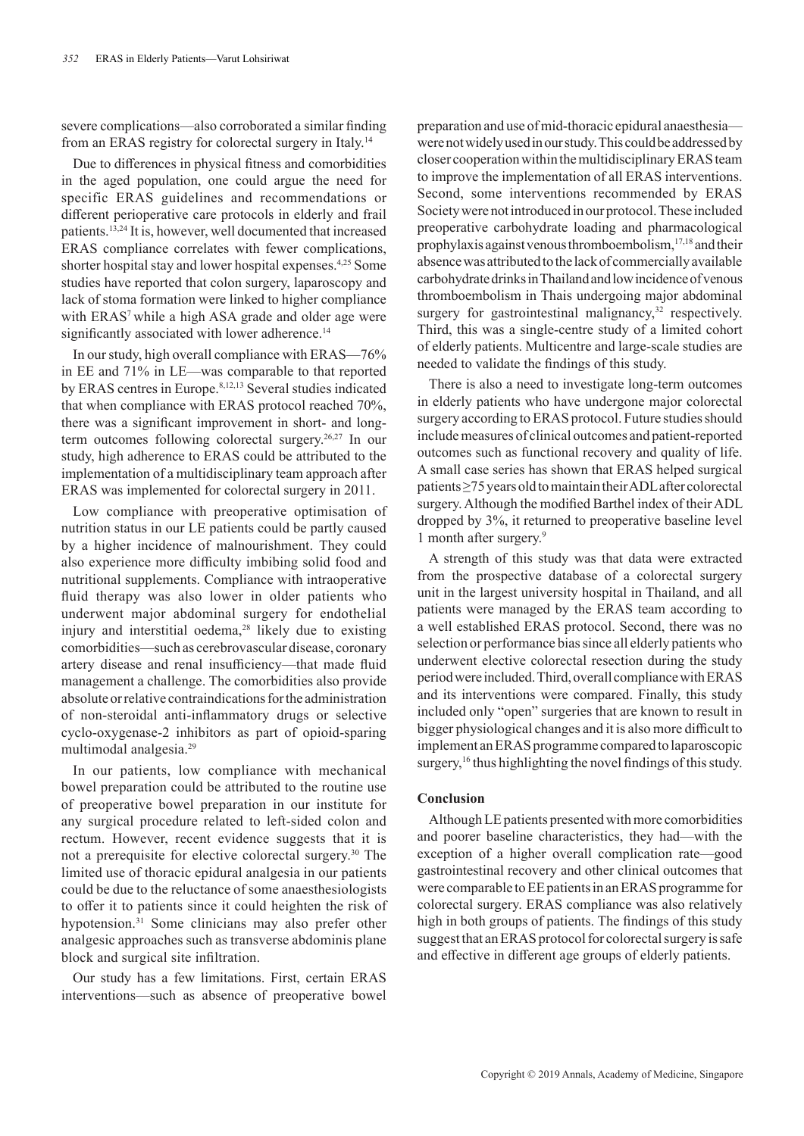severe complications—also corroborated a similar finding from an ERAS registry for colorectal surgery in Italy.<sup>14</sup>

Due to differences in physical fitness and comorbidities in the aged population, one could argue the need for specific ERAS guidelines and recommendations or different perioperative care protocols in elderly and frail patients.13,24 It is, however, well documented that increased ERAS compliance correlates with fewer complications, shorter hospital stay and lower hospital expenses.4,25 Some studies have reported that colon surgery, laparoscopy and lack of stoma formation were linked to higher compliance with ERAS<sup>7</sup> while a high ASA grade and older age were significantly associated with lower adherence.<sup>14</sup>

In our study, high overall compliance with ERAS—76% in EE and 71% in LE—was comparable to that reported by ERAS centres in Europe.<sup>8,12,13</sup> Several studies indicated that when compliance with ERAS protocol reached 70%, there was a significant improvement in short- and longterm outcomes following colorectal surgery.26,27 In our study, high adherence to ERAS could be attributed to the implementation of a multidisciplinary team approach after ERAS was implemented for colorectal surgery in 2011.

Low compliance with preoperative optimisation of nutrition status in our LE patients could be partly caused by a higher incidence of malnourishment. They could also experience more difficulty imbibing solid food and nutritional supplements. Compliance with intraoperative fluid therapy was also lower in older patients who underwent major abdominal surgery for endothelial injury and interstitial oedema, $28$  likely due to existing comorbidities—such as cerebrovascular disease, coronary artery disease and renal insufficiency—that made fluid management a challenge. The comorbidities also provide absolute or relative contraindications for the administration of non-steroidal anti-inflammatory drugs or selective cyclo-oxygenase-2 inhibitors as part of opioid-sparing multimodal analgesia.29

In our patients, low compliance with mechanical bowel preparation could be attributed to the routine use of preoperative bowel preparation in our institute for any surgical procedure related to left-sided colon and rectum. However, recent evidence suggests that it is not a prerequisite for elective colorectal surgery.<sup>30</sup> The limited use of thoracic epidural analgesia in our patients could be due to the reluctance of some anaesthesiologists to offer it to patients since it could heighten the risk of hypotension.<sup>31</sup> Some clinicians may also prefer other analgesic approaches such as transverse abdominis plane block and surgical site infiltration.

Our study has a few limitations. First, certain ERAS interventions—such as absence of preoperative bowel

preparation and use of mid-thoracic epidural anaesthesia were not widely used in our study. This could be addressed by closer cooperation within the multidisciplinary ERAS team to improve the implementation of all ERAS interventions. Second, some interventions recommended by ERAS Society were not introduced in our protocol. These included preoperative carbohydrate loading and pharmacological prophylaxis against venous thromboembolism,17,18 and their absence was attributed to the lack of commercially available carbohydrate drinks in Thailand and low incidence of venous thromboembolism in Thais undergoing major abdominal surgery for gastrointestinal malignancy,<sup>32</sup> respectively. Third, this was a single-centre study of a limited cohort of elderly patients. Multicentre and large-scale studies are needed to validate the findings of this study.

There is also a need to investigate long-term outcomes in elderly patients who have undergone major colorectal surgery according to ERAS protocol. Future studies should include measures of clinical outcomes and patient-reported outcomes such as functional recovery and quality of life. A small case series has shown that ERAS helped surgical patients ≥75 years old to maintain their ADL after colorectal surgery. Although the modified Barthel index of their ADL dropped by 3%, it returned to preoperative baseline level 1 month after surgery.9

A strength of this study was that data were extracted from the prospective database of a colorectal surgery unit in the largest university hospital in Thailand, and all patients were managed by the ERAS team according to a well established ERAS protocol. Second, there was no selection or performance bias since all elderly patients who underwent elective colorectal resection during the study period were included. Third, overall compliance with ERAS and its interventions were compared. Finally, this study included only "open" surgeries that are known to result in bigger physiological changes and it is also more difficult to implement an ERAS programme compared to laparoscopic surgery,<sup>16</sup> thus highlighting the novel findings of this study.

#### **Conclusion**

Although LE patients presented with more comorbidities and poorer baseline characteristics, they had—with the exception of a higher overall complication rate—good gastrointestinal recovery and other clinical outcomes that were comparable to EE patients in an ERAS programme for colorectal surgery. ERAS compliance was also relatively high in both groups of patients. The findings of this study suggest that an ERAS protocol for colorectal surgery is safe and effective in different age groups of elderly patients.